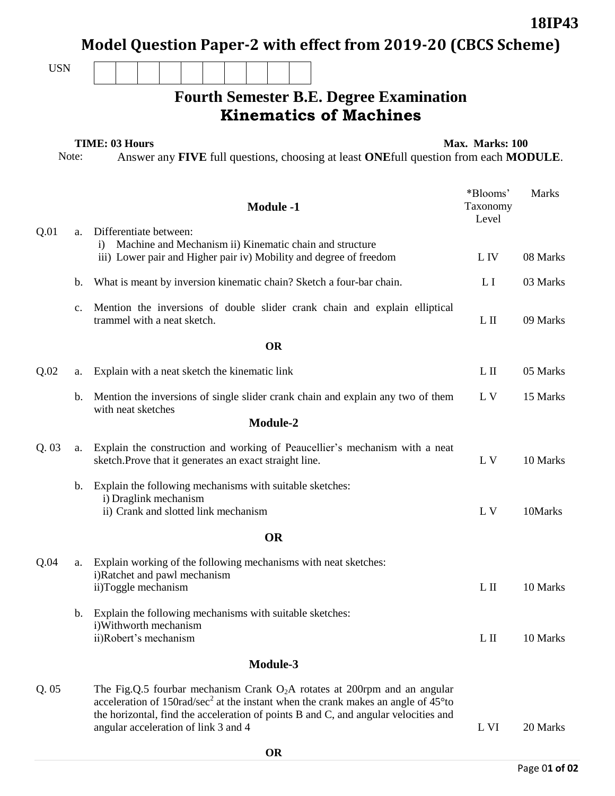|            |                                                                                                                                               |                                                                                                             |                                                                                                                                                         |        |          |                                                               |          |  |                 |                  |  | Model Question Paper-2 with effect from 2019-20 (CBCS Scheme)                                                                                                                                                                                                                 |                               |              |
|------------|-----------------------------------------------------------------------------------------------------------------------------------------------|-------------------------------------------------------------------------------------------------------------|---------------------------------------------------------------------------------------------------------------------------------------------------------|--------|----------|---------------------------------------------------------------|----------|--|-----------------|------------------|--|-------------------------------------------------------------------------------------------------------------------------------------------------------------------------------------------------------------------------------------------------------------------------------|-------------------------------|--------------|
| <b>USN</b> |                                                                                                                                               |                                                                                                             |                                                                                                                                                         |        |          |                                                               |          |  |                 |                  |  |                                                                                                                                                                                                                                                                               |                               |              |
|            |                                                                                                                                               |                                                                                                             |                                                                                                                                                         |        |          |                                                               |          |  |                 |                  |  | <b>Fourth Semester B.E. Degree Examination</b>                                                                                                                                                                                                                                |                               |              |
|            |                                                                                                                                               |                                                                                                             |                                                                                                                                                         |        |          |                                                               |          |  |                 |                  |  | <b>Kinematics of Machines</b>                                                                                                                                                                                                                                                 |                               |              |
|            | <b>TIME: 03 Hours</b><br>Note:<br>Answer any <b>FIVE</b> full questions, choosing at least <b>ONE</b> full question from each <b>MODULE</b> . |                                                                                                             |                                                                                                                                                         |        |          |                                                               |          |  | Max. Marks: 100 |                  |  |                                                                                                                                                                                                                                                                               |                               |              |
|            |                                                                                                                                               |                                                                                                             |                                                                                                                                                         |        |          |                                                               |          |  |                 | <b>Module -1</b> |  |                                                                                                                                                                                                                                                                               | *Blooms'<br>Taxonomy<br>Level | <b>Marks</b> |
| Q.01       | a.                                                                                                                                            | $\bf{1)}$                                                                                                   | Differentiate between:<br>Machine and Mechanism ii) Kinematic chain and structure<br>iii) Lower pair and Higher pair iv) Mobility and degree of freedom | L IV   | 08 Marks |                                                               |          |  |                 |                  |  |                                                                                                                                                                                                                                                                               |                               |              |
|            | b.                                                                                                                                            |                                                                                                             |                                                                                                                                                         |        |          |                                                               |          |  |                 |                  |  | What is meant by inversion kinematic chain? Sketch a four-bar chain.                                                                                                                                                                                                          | L I                           | 03 Marks     |
|            | $C_{\bullet}$                                                                                                                                 |                                                                                                             |                                                                                                                                                         |        |          | trammel with a neat sketch.                                   |          |  |                 |                  |  | Mention the inversions of double slider crank chain and explain elliptical                                                                                                                                                                                                    | $L$ II                        | 09 Marks     |
|            |                                                                                                                                               |                                                                                                             |                                                                                                                                                         |        |          |                                                               |          |  |                 | <b>OR</b>        |  |                                                                                                                                                                                                                                                                               |                               |              |
| Q.02       | a.                                                                                                                                            |                                                                                                             | Explain with a neat sketch the kinematic link                                                                                                           |        |          | $L$ II                                                        | 05 Marks |  |                 |                  |  |                                                                                                                                                                                                                                                                               |                               |              |
|            | b.                                                                                                                                            |                                                                                                             | with neat sketches                                                                                                                                      |        |          |                                                               |          |  |                 |                  |  | Mention the inversions of single slider crank chain and explain any two of them                                                                                                                                                                                               | L V                           | 15 Marks     |
|            |                                                                                                                                               |                                                                                                             |                                                                                                                                                         |        |          |                                                               |          |  |                 | <b>Module-2</b>  |  |                                                                                                                                                                                                                                                                               |                               |              |
| Q.03       | a.                                                                                                                                            |                                                                                                             | Explain the construction and working of Peaucellier's mechanism with a neat<br>sketch. Prove that it generates an exact straight line.                  | L V    | 10 Marks |                                                               |          |  |                 |                  |  |                                                                                                                                                                                                                                                                               |                               |              |
|            | b.                                                                                                                                            |                                                                                                             |                                                                                                                                                         |        |          | i) Draglink mechanism<br>ii) Crank and slotted link mechanism |          |  |                 |                  |  | Explain the following mechanisms with suitable sketches:                                                                                                                                                                                                                      | L V                           | 10Marks      |
|            |                                                                                                                                               |                                                                                                             |                                                                                                                                                         |        |          |                                                               |          |  |                 | <b>OR</b>        |  |                                                                                                                                                                                                                                                                               |                               |              |
|            |                                                                                                                                               |                                                                                                             |                                                                                                                                                         |        |          |                                                               |          |  |                 |                  |  | Explain working of the following mechanisms with neat sketches:                                                                                                                                                                                                               |                               |              |
| Q.04       | a.                                                                                                                                            |                                                                                                             | i)Ratchet and pawl mechanism<br>ii)Toggle mechanism                                                                                                     | $L$ II | 10 Marks |                                                               |          |  |                 |                  |  |                                                                                                                                                                                                                                                                               |                               |              |
|            | b.                                                                                                                                            | Explain the following mechanisms with suitable sketches:<br>i) Withworth mechanism<br>ii)Robert's mechanism |                                                                                                                                                         |        |          |                                                               |          |  |                 |                  |  |                                                                                                                                                                                                                                                                               | $L$ II                        | 10 Marks     |
|            |                                                                                                                                               |                                                                                                             |                                                                                                                                                         |        |          |                                                               |          |  |                 | Module-3         |  |                                                                                                                                                                                                                                                                               |                               |              |
| Q.05       |                                                                                                                                               |                                                                                                             |                                                                                                                                                         |        |          | angular acceleration of link 3 and 4                          |          |  |                 |                  |  | The Fig.Q.5 fourbar mechanism Crank $O_2A$ rotates at 200rpm and an angular<br>acceleration of 150rad/sec <sup>2</sup> at the instant when the crank makes an angle of $45^{\circ}$ to<br>the horizontal, find the acceleration of points B and C, and angular velocities and | L VI                          | 20 Marks     |
|            |                                                                                                                                               |                                                                                                             |                                                                                                                                                         |        |          |                                                               |          |  |                 | ΛD               |  |                                                                                                                                                                                                                                                                               |                               |              |

**18IP43**